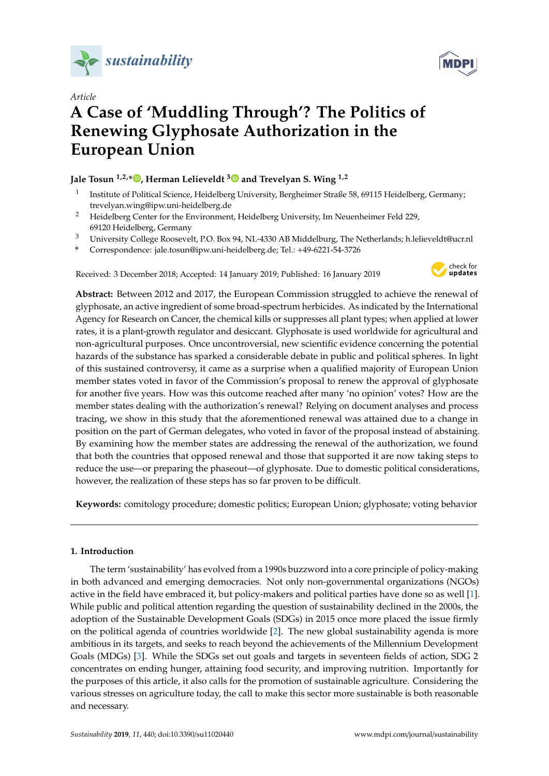





# **A Case of 'Muddling Through'? The Politics of Renewing Glyphosate Authorization in the European Union**

# **Jale Tosun 1,2,\* [,](https://orcid.org/0000-0001-9367-5039) Herman Lelieveldt [3](https://orcid.org/0000-0002-6387-3488) and Trevelyan S. Wing 1,2**

- 1 Institute of Political Science, Heidelberg University, Bergheimer Straße 58, 69115 Heidelberg, Germany; trevelyan.wing@ipw.uni-heidelberg.de
- <sup>2</sup> Heidelberg Center for the Environment, Heidelberg University, Im Neuenheimer Feld 229, 69120 Heidelberg, Germany
- <sup>3</sup> University College Roosevelt, P.O. Box 94, NL-4330 AB Middelburg, The Netherlands; h.lelieveldt@ucr.nl
- **\*** Correspondence: jale.tosun@ipw.uni-heidelberg.de; Tel.: +49-6221-54-3726

Received: 3 December 2018; Accepted: 14 January 2019; Published: 16 January 2019



**Abstract:** Between 2012 and 2017, the European Commission struggled to achieve the renewal of glyphosate, an active ingredient of some broad-spectrum herbicides. As indicated by the International Agency for Research on Cancer, the chemical kills or suppresses all plant types; when applied at lower rates, it is a plant-growth regulator and desiccant. Glyphosate is used worldwide for agricultural and non-agricultural purposes. Once uncontroversial, new scientific evidence concerning the potential hazards of the substance has sparked a considerable debate in public and political spheres. In light of this sustained controversy, it came as a surprise when a qualified majority of European Union member states voted in favor of the Commission's proposal to renew the approval of glyphosate for another five years. How was this outcome reached after many 'no opinion' votes? How are the member states dealing with the authorization's renewal? Relying on document analyses and process tracing, we show in this study that the aforementioned renewal was attained due to a change in position on the part of German delegates, who voted in favor of the proposal instead of abstaining. By examining how the member states are addressing the renewal of the authorization, we found that both the countries that opposed renewal and those that supported it are now taking steps to reduce the use—or preparing the phaseout—of glyphosate. Due to domestic political considerations, however, the realization of these steps has so far proven to be difficult.

**Keywords:** comitology procedure; domestic politics; European Union; glyphosate; voting behavior

# **1. Introduction**

The term 'sustainability' has evolved from a 1990s buzzword into a core principle of policy-making in both advanced and emerging democracies. Not only non-governmental organizations (NGOs) active in the field have embraced it, but policy-makers and political parties have done so as well [\[1\]](#page-13-0). While public and political attention regarding the question of sustainability declined in the 2000s, the adoption of the Sustainable Development Goals (SDGs) in 2015 once more placed the issue firmly on the political agenda of countries worldwide [\[2\]](#page-14-0). The new global sustainability agenda is more ambitious in its targets, and seeks to reach beyond the achievements of the Millennium Development Goals (MDGs) [\[3\]](#page-14-1). While the SDGs set out goals and targets in seventeen fields of action, SDG 2 concentrates on ending hunger, attaining food security, and improving nutrition. Importantly for the purposes of this article, it also calls for the promotion of sustainable agriculture. Considering the various stresses on agriculture today, the call to make this sector more sustainable is both reasonable and necessary.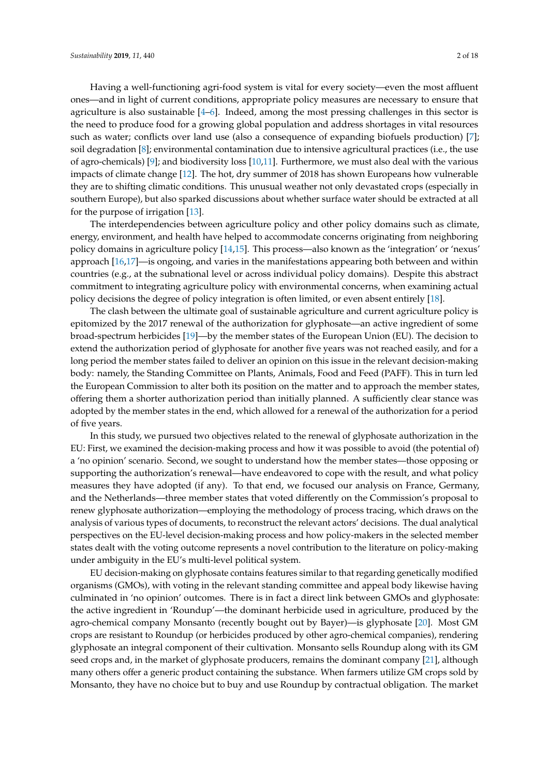Having a well-functioning agri-food system is vital for every society—even the most affluent ones—and in light of current conditions, appropriate policy measures are necessary to ensure that agriculture is also sustainable  $[4-6]$  $[4-6]$ . Indeed, among the most pressing challenges in this sector is the need to produce food for a growing global population and address shortages in vital resources such as water; conflicts over land use (also a consequence of expanding biofuels production) [\[7\]](#page-14-4); soil degradation [\[8\]](#page-14-5); environmental contamination due to intensive agricultural practices (i.e., the use of agro-chemicals) [\[9\]](#page-14-6); and biodiversity loss [\[10,](#page-14-7)[11\]](#page-14-8). Furthermore, we must also deal with the various impacts of climate change [\[12\]](#page-14-9). The hot, dry summer of 2018 has shown Europeans how vulnerable

they are to shifting climatic conditions. This unusual weather not only devastated crops (especially in southern Europe), but also sparked discussions about whether surface water should be extracted at all for the purpose of irrigation [\[13\]](#page-14-10). The interdependencies between agriculture policy and other policy domains such as climate,

energy, environment, and health have helped to accommodate concerns originating from neighboring policy domains in agriculture policy [\[14](#page-14-11)[,15\]](#page-14-12). This process—also known as the 'integration' or 'nexus' approach [\[16,](#page-14-13)[17\]](#page-14-14)—is ongoing, and varies in the manifestations appearing both between and within countries (e.g., at the subnational level or across individual policy domains). Despite this abstract commitment to integrating agriculture policy with environmental concerns, when examining actual policy decisions the degree of policy integration is often limited, or even absent entirely [\[18\]](#page-14-15).

The clash between the ultimate goal of sustainable agriculture and current agriculture policy is epitomized by the 2017 renewal of the authorization for glyphosate—an active ingredient of some broad-spectrum herbicides [\[19\]](#page-14-16)—by the member states of the European Union (EU). The decision to extend the authorization period of glyphosate for another five years was not reached easily, and for a long period the member states failed to deliver an opinion on this issue in the relevant decision-making body: namely, the Standing Committee on Plants, Animals, Food and Feed (PAFF). This in turn led the European Commission to alter both its position on the matter and to approach the member states, offering them a shorter authorization period than initially planned. A sufficiently clear stance was adopted by the member states in the end, which allowed for a renewal of the authorization for a period of five years.

In this study, we pursued two objectives related to the renewal of glyphosate authorization in the EU: First, we examined the decision-making process and how it was possible to avoid (the potential of) a 'no opinion' scenario. Second, we sought to understand how the member states—those opposing or supporting the authorization's renewal—have endeavored to cope with the result, and what policy measures they have adopted (if any). To that end, we focused our analysis on France, Germany, and the Netherlands—three member states that voted differently on the Commission's proposal to renew glyphosate authorization—employing the methodology of process tracing, which draws on the analysis of various types of documents, to reconstruct the relevant actors' decisions. The dual analytical perspectives on the EU-level decision-making process and how policy-makers in the selected member states dealt with the voting outcome represents a novel contribution to the literature on policy-making under ambiguity in the EU's multi-level political system.

EU decision-making on glyphosate contains features similar to that regarding genetically modified organisms (GMOs), with voting in the relevant standing committee and appeal body likewise having culminated in 'no opinion' outcomes. There is in fact a direct link between GMOs and glyphosate: the active ingredient in 'Roundup'—the dominant herbicide used in agriculture, produced by the agro-chemical company Monsanto (recently bought out by Bayer)—is glyphosate [\[20\]](#page-14-17). Most GM crops are resistant to Roundup (or herbicides produced by other agro-chemical companies), rendering glyphosate an integral component of their cultivation. Monsanto sells Roundup along with its GM seed crops and, in the market of glyphosate producers, remains the dominant company [\[21\]](#page-14-18), although many others offer a generic product containing the substance. When farmers utilize GM crops sold by Monsanto, they have no choice but to buy and use Roundup by contractual obligation. The market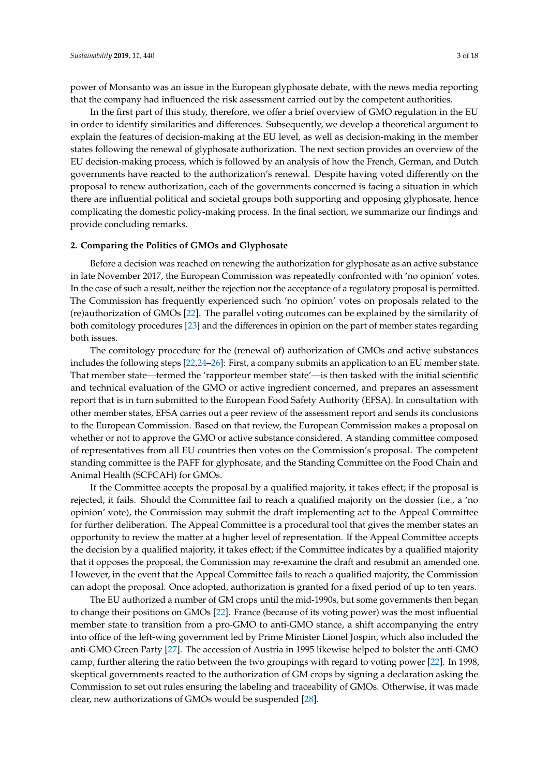power of Monsanto was an issue in the European glyphosate debate, with the news media reporting that the company had influenced the risk assessment carried out by the competent authorities.

In the first part of this study, therefore, we offer a brief overview of GMO regulation in the EU in order to identify similarities and differences. Subsequently, we develop a theoretical argument to explain the features of decision-making at the EU level, as well as decision-making in the member states following the renewal of glyphosate authorization. The next section provides an overview of the EU decision-making process, which is followed by an analysis of how the French, German, and Dutch governments have reacted to the authorization's renewal. Despite having voted differently on the proposal to renew authorization, each of the governments concerned is facing a situation in which there are influential political and societal groups both supporting and opposing glyphosate, hence complicating the domestic policy-making process. In the final section, we summarize our findings and provide concluding remarks.

# <span id="page-2-0"></span>**2. Comparing the Politics of GMOs and Glyphosate**

Before a decision was reached on renewing the authorization for glyphosate as an active substance in late November 2017, the European Commission was repeatedly confronted with 'no opinion' votes. In the case of such a result, neither the rejection nor the acceptance of a regulatory proposal is permitted. The Commission has frequently experienced such 'no opinion' votes on proposals related to the (re)authorization of GMOs [\[22\]](#page-14-19). The parallel voting outcomes can be explained by the similarity of both comitology procedures [\[23\]](#page-14-20) and the differences in opinion on the part of member states regarding both issues.

The comitology procedure for the (renewal of) authorization of GMOs and active substances includes the following steps [\[22](#page-14-19)[,24](#page-15-0)[–26\]](#page-15-1): First, a company submits an application to an EU member state. That member state—termed the 'rapporteur member state'—is then tasked with the initial scientific and technical evaluation of the GMO or active ingredient concerned, and prepares an assessment report that is in turn submitted to the European Food Safety Authority (EFSA). In consultation with other member states, EFSA carries out a peer review of the assessment report and sends its conclusions to the European Commission. Based on that review, the European Commission makes a proposal on whether or not to approve the GMO or active substance considered. A standing committee composed of representatives from all EU countries then votes on the Commission's proposal. The competent standing committee is the PAFF for glyphosate, and the Standing Committee on the Food Chain and Animal Health (SCFCAH) for GMOs.

If the Committee accepts the proposal by a qualified majority, it takes effect; if the proposal is rejected, it fails. Should the Committee fail to reach a qualified majority on the dossier (i.e., a 'no opinion' vote), the Commission may submit the draft implementing act to the Appeal Committee for further deliberation. The Appeal Committee is a procedural tool that gives the member states an opportunity to review the matter at a higher level of representation. If the Appeal Committee accepts the decision by a qualified majority, it takes effect; if the Committee indicates by a qualified majority that it opposes the proposal, the Commission may re-examine the draft and resubmit an amended one. However, in the event that the Appeal Committee fails to reach a qualified majority, the Commission can adopt the proposal. Once adopted, authorization is granted for a fixed period of up to ten years.

The EU authorized a number of GM crops until the mid-1990s, but some governments then began to change their positions on GMOs [\[22\]](#page-14-19). France (because of its voting power) was the most influential member state to transition from a pro-GMO to anti-GMO stance, a shift accompanying the entry into office of the left-wing government led by Prime Minister Lionel Jospin, which also included the anti-GMO Green Party [\[27\]](#page-15-2). The accession of Austria in 1995 likewise helped to bolster the anti-GMO camp, further altering the ratio between the two groupings with regard to voting power [\[22\]](#page-14-19). In 1998, skeptical governments reacted to the authorization of GM crops by signing a declaration asking the Commission to set out rules ensuring the labeling and traceability of GMOs. Otherwise, it was made clear, new authorizations of GMOs would be suspended [\[28\]](#page-15-3).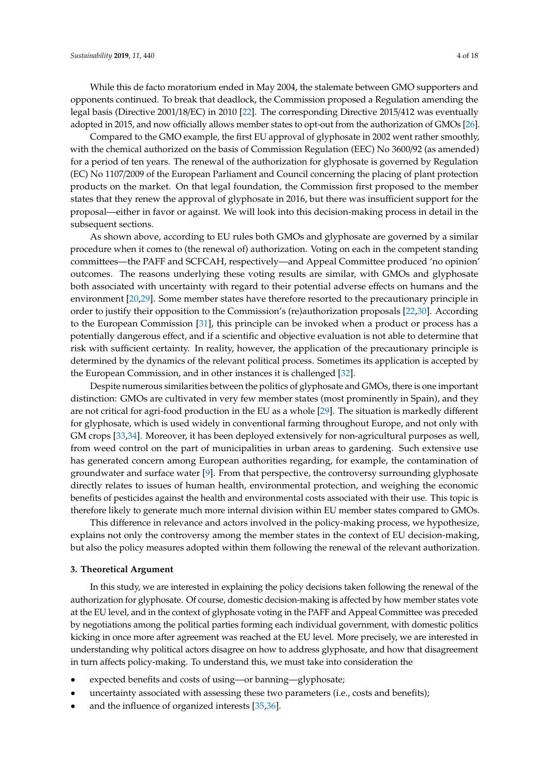While this de facto moratorium ended in May 2004, the stalemate between GMO supporters and opponents continued. To break that deadlock, the Commission proposed a Regulation amending the legal basis (Directive 2001/18/EC) in 2010 [\[22\]](#page-14-19). The corresponding Directive 2015/412 was eventually adopted in 2015, and now officially allows member states to opt-out from the authorization of GMOs [\[26\]](#page-15-1).

Compared to the GMO example, the first EU approval of glyphosate in 2002 went rather smoothly, with the chemical authorized on the basis of Commission Regulation (EEC) No 3600/92 (as amended) for a period of ten years. The renewal of the authorization for glyphosate is governed by Regulation (EC) No 1107/2009 of the European Parliament and Council concerning the placing of plant protection products on the market. On that legal foundation, the Commission first proposed to the member states that they renew the approval of glyphosate in 2016, but there was insufficient support for the proposal—either in favor or against. We will look into this decision-making process in detail in the subsequent sections.

As shown above, according to EU rules both GMOs and glyphosate are governed by a similar procedure when it comes to (the renewal of) authorization. Voting on each in the competent standing committees—the PAFF and SCFCAH, respectively—and Appeal Committee produced 'no opinion' outcomes. The reasons underlying these voting results are similar, with GMOs and glyphosate both associated with uncertainty with regard to their potential adverse effects on humans and the environment [\[20](#page-14-17)[,29\]](#page-15-4). Some member states have therefore resorted to the precautionary principle in order to justify their opposition to the Commission's (re)authorization proposals [\[22,](#page-14-19)[30\]](#page-15-5). According to the European Commission [\[31\]](#page-15-6), this principle can be invoked when a product or process has a potentially dangerous effect, and if a scientific and objective evaluation is not able to determine that risk with sufficient certainty. In reality, however, the application of the precautionary principle is determined by the dynamics of the relevant political process. Sometimes its application is accepted by the European Commission, and in other instances it is challenged [\[32\]](#page-15-7).

Despite numerous similarities between the politics of glyphosate and GMOs, there is one important distinction: GMOs are cultivated in very few member states (most prominently in Spain), and they are not critical for agri-food production in the EU as a whole [\[29\]](#page-15-4). The situation is markedly different for glyphosate, which is used widely in conventional farming throughout Europe, and not only with GM crops [\[33,](#page-15-8)[34\]](#page-15-9). Moreover, it has been deployed extensively for non-agricultural purposes as well, from weed control on the part of municipalities in urban areas to gardening. Such extensive use has generated concern among European authorities regarding, for example, the contamination of groundwater and surface water [\[9\]](#page-14-6). From that perspective, the controversy surrounding glyphosate directly relates to issues of human health, environmental protection, and weighing the economic benefits of pesticides against the health and environmental costs associated with their use. This topic is therefore likely to generate much more internal division within EU member states compared to GMOs.

This difference in relevance and actors involved in the policy-making process, we hypothesize, explains not only the controversy among the member states in the context of EU decision-making, but also the policy measures adopted within them following the renewal of the relevant authorization.

## <span id="page-3-0"></span>**3. Theoretical Argument**

In this study, we are interested in explaining the policy decisions taken following the renewal of the authorization for glyphosate. Of course, domestic decision-making is affected by how member states vote at the EU level, and in the context of glyphosate voting in the PAFF and Appeal Committee was preceded by negotiations among the political parties forming each individual government, with domestic politics kicking in once more after agreement was reached at the EU level. More precisely, we are interested in understanding why political actors disagree on how to address glyphosate, and how that disagreement in turn affects policy-making. To understand this, we must take into consideration the

- expected benefits and costs of using—or banning—glyphosate;
- uncertainty associated with assessing these two parameters (i.e., costs and benefits);
- and the influence of organized interests [\[35,](#page-15-10)[36\]](#page-15-11).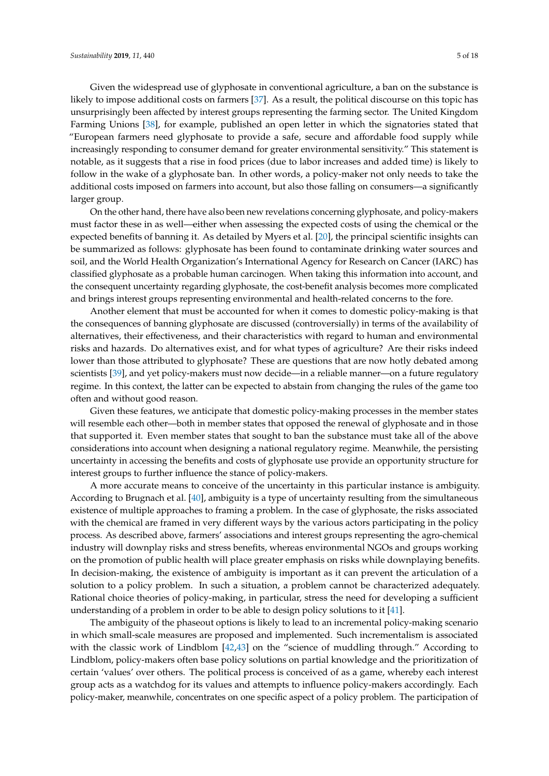Given the widespread use of glyphosate in conventional agriculture, a ban on the substance is likely to impose additional costs on farmers [\[37\]](#page-15-12). As a result, the political discourse on this topic has unsurprisingly been affected by interest groups representing the farming sector. The United Kingdom Farming Unions [\[38\]](#page-15-13), for example, published an open letter in which the signatories stated that "European farmers need glyphosate to provide a safe, secure and affordable food supply while increasingly responding to consumer demand for greater environmental sensitivity." This statement is notable, as it suggests that a rise in food prices (due to labor increases and added time) is likely to follow in the wake of a glyphosate ban. In other words, a policy-maker not only needs to take the additional costs imposed on farmers into account, but also those falling on consumers—a significantly larger group.

On the other hand, there have also been new revelations concerning glyphosate, and policy-makers must factor these in as well—either when assessing the expected costs of using the chemical or the expected benefits of banning it. As detailed by Myers et al. [\[20\]](#page-14-17), the principal scientific insights can be summarized as follows: glyphosate has been found to contaminate drinking water sources and soil, and the World Health Organization's International Agency for Research on Cancer (IARC) has classified glyphosate as a probable human carcinogen. When taking this information into account, and the consequent uncertainty regarding glyphosate, the cost-benefit analysis becomes more complicated and brings interest groups representing environmental and health-related concerns to the fore.

Another element that must be accounted for when it comes to domestic policy-making is that the consequences of banning glyphosate are discussed (controversially) in terms of the availability of alternatives, their effectiveness, and their characteristics with regard to human and environmental risks and hazards. Do alternatives exist, and for what types of agriculture? Are their risks indeed lower than those attributed to glyphosate? These are questions that are now hotly debated among scientists [\[39\]](#page-15-14), and yet policy-makers must now decide—in a reliable manner—on a future regulatory regime. In this context, the latter can be expected to abstain from changing the rules of the game too often and without good reason.

Given these features, we anticipate that domestic policy-making processes in the member states will resemble each other—both in member states that opposed the renewal of glyphosate and in those that supported it. Even member states that sought to ban the substance must take all of the above considerations into account when designing a national regulatory regime. Meanwhile, the persisting uncertainty in accessing the benefits and costs of glyphosate use provide an opportunity structure for interest groups to further influence the stance of policy-makers.

A more accurate means to conceive of the uncertainty in this particular instance is ambiguity. According to Brugnach et al. [\[40\]](#page-15-15), ambiguity is a type of uncertainty resulting from the simultaneous existence of multiple approaches to framing a problem. In the case of glyphosate, the risks associated with the chemical are framed in very different ways by the various actors participating in the policy process. As described above, farmers' associations and interest groups representing the agro-chemical industry will downplay risks and stress benefits, whereas environmental NGOs and groups working on the promotion of public health will place greater emphasis on risks while downplaying benefits. In decision-making, the existence of ambiguity is important as it can prevent the articulation of a solution to a policy problem. In such a situation, a problem cannot be characterized adequately. Rational choice theories of policy-making, in particular, stress the need for developing a sufficient understanding of a problem in order to be able to design policy solutions to it [\[41\]](#page-15-16).

The ambiguity of the phaseout options is likely to lead to an incremental policy-making scenario in which small-scale measures are proposed and implemented. Such incrementalism is associated with the classic work of Lindblom [\[42,](#page-15-17)[43\]](#page-15-18) on the "science of muddling through." According to Lindblom, policy-makers often base policy solutions on partial knowledge and the prioritization of certain 'values' over others. The political process is conceived of as a game, whereby each interest group acts as a watchdog for its values and attempts to influence policy-makers accordingly. Each policy-maker, meanwhile, concentrates on one specific aspect of a policy problem. The participation of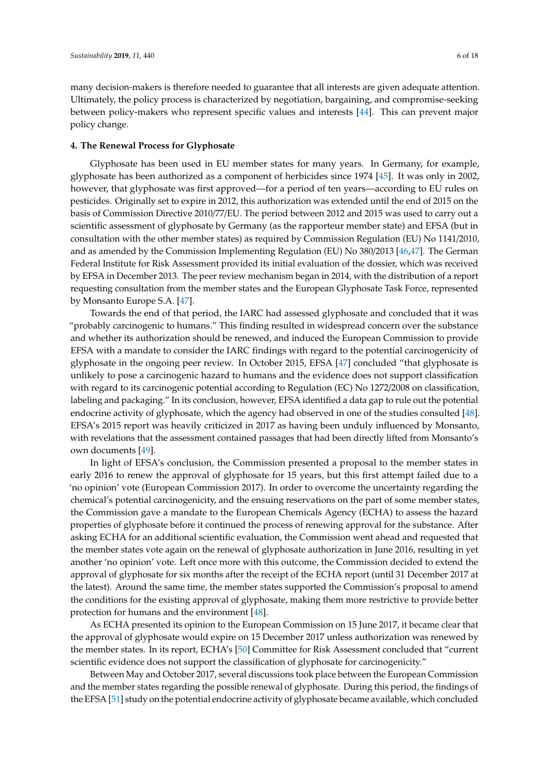many decision-makers is therefore needed to guarantee that all interests are given adequate attention. Ultimately, the policy process is characterized by negotiation, bargaining, and compromise-seeking between policy-makers who represent specific values and interests [\[44\]](#page-15-19). This can prevent major policy change.

## **4. The Renewal Process for Glyphosate**

Glyphosate has been used in EU member states for many years. In Germany, for example, glyphosate has been authorized as a component of herbicides since 1974 [\[45\]](#page-15-20). It was only in 2002, however, that glyphosate was first approved—for a period of ten years—according to EU rules on pesticides. Originally set to expire in 2012, this authorization was extended until the end of 2015 on the basis of Commission Directive 2010/77/EU. The period between 2012 and 2015 was used to carry out a scientific assessment of glyphosate by Germany (as the rapporteur member state) and EFSA (but in consultation with the other member states) as required by Commission Regulation (EU) No 1141/2010, and as amended by the Commission Implementing Regulation (EU) No 380/2013 [\[46](#page-15-21)[,47\]](#page-15-22). The German Federal Institute for Risk Assessment provided its initial evaluation of the dossier, which was received by EFSA in December 2013. The peer review mechanism began in 2014, with the distribution of a report requesting consultation from the member states and the European Glyphosate Task Force, represented by Monsanto Europe S.A. [\[47\]](#page-15-22).

Towards the end of that period, the IARC had assessed glyphosate and concluded that it was "probably carcinogenic to humans." This finding resulted in widespread concern over the substance and whether its authorization should be renewed, and induced the European Commission to provide EFSA with a mandate to consider the IARC findings with regard to the potential carcinogenicity of glyphosate in the ongoing peer review. In October 2015, EFSA [\[47\]](#page-15-22) concluded "that glyphosate is unlikely to pose a carcinogenic hazard to humans and the evidence does not support classification with regard to its carcinogenic potential according to Regulation (EC) No 1272/2008 on classification, labeling and packaging." In its conclusion, however, EFSA identified a data gap to rule out the potential endocrine activity of glyphosate, which the agency had observed in one of the studies consulted [\[48\]](#page-15-23). EFSA's 2015 report was heavily criticized in 2017 as having been unduly influenced by Monsanto, with revelations that the assessment contained passages that had been directly lifted from Monsanto's own documents [\[49\]](#page-16-0).

In light of EFSA's conclusion, the Commission presented a proposal to the member states in early 2016 to renew the approval of glyphosate for 15 years, but this first attempt failed due to a 'no opinion' vote (European Commission 2017). In order to overcome the uncertainty regarding the chemical's potential carcinogenicity, and the ensuing reservations on the part of some member states, the Commission gave a mandate to the European Chemicals Agency (ECHA) to assess the hazard properties of glyphosate before it continued the process of renewing approval for the substance. After asking ECHA for an additional scientific evaluation, the Commission went ahead and requested that the member states vote again on the renewal of glyphosate authorization in June 2016, resulting in yet another 'no opinion' vote. Left once more with this outcome, the Commission decided to extend the approval of glyphosate for six months after the receipt of the ECHA report (until 31 December 2017 at the latest). Around the same time, the member states supported the Commission's proposal to amend the conditions for the existing approval of glyphosate, making them more restrictive to provide better protection for humans and the environment [\[48\]](#page-15-23).

As ECHA presented its opinion to the European Commission on 15 June 2017, it became clear that the approval of glyphosate would expire on 15 December 2017 unless authorization was renewed by the member states. In its report, ECHA's [\[50\]](#page-16-1) Committee for Risk Assessment concluded that "current scientific evidence does not support the classification of glyphosate for carcinogenicity."

Between May and October 2017, several discussions took place between the European Commission and the member states regarding the possible renewal of glyphosate. During this period, the findings of the EFSA [\[51\]](#page-16-2) study on the potential endocrine activity of glyphosate became available, which concluded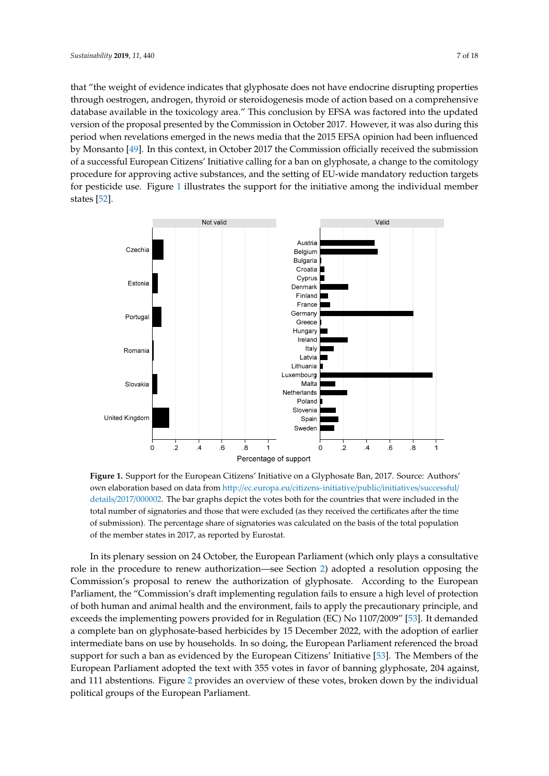that "the weight of evidence indicates that glyphosate does not have endocrine disrupting properties through oestrogen, androgen, thyroid or steroidogenesis mode of action based on a comprehensive database available in the toxicology area." This conclusion by EFSA was factored into the updated version of the proposal presented by the Commission in October 2017. However, it was also during this period when revelations emerged in the news media that the 2015 EFSA opinion had been influenced by Monsanto [\[49\]](#page-16-0). In this context, in October 2017 the Commission officially received the submission of a successful European Citizens' Initiative calling for a ban on glyphosate, a change to the comitology procedure for approving active substances, and the setting of EU-wide mandatory reduction targets for pesticide use. Figure [1](#page-6-0) illustrates the support for the initiative among the individual member states [\[52\]](#page-16-3).

<span id="page-6-0"></span>

own elaboration based on data from http://ec.europa.eu/citizens-initiative/public/initiatives/successful/ details/2017/000002. The bar graphs depict the votes both for the countries that were included in the total number of signatories and those that were excluded (as they received the certificates after the time of submission). The percentage share of signatories was calculated on the basis of the total population of the member states in 2017, as reported by Eurostat.  $340$  calculated on the basis of the total population of the member states in  $2017$ **Figure 1.** Support for the European Citizens' Initiative on a Glyphosate Ban, 2017. Source: Authors'

role in the proc[ed](#page-2-0)ure to renew authorization—see Section 2) adopted a resolution opposing the Commission's proposal to renew the authorization of glyphosate. According to the European Parliament, the "Commission's draft implementing regulation fails to ensure a high level of protection of both human and animal health and the environment, fails to apply the precautionary principle, and exceeds the implementing powers provided for in Regulation (EC) No 1107/2009" [53]. It demanded a complete ban on glyphosate-based herbicides by 15 December 2022, with the adoption of earlier intermediate bans on use by households. In so doing, the European Parliament referenced the broad support for such a ban as evidenced by the European Citizens' Initiative [53]. The Members of the European Parliament adopted the text with 355 votes in favor of banning glyphosate, 204 against, and 111 abstentions. Figure 2 provides an overview of these votes, broken down by the individual political groups of the European Parliament. In its plenary session on 24 October, the European Parliament (which only plays a consultative

352 Nevertheless, the Communication reveals that the views of the European Parliament had been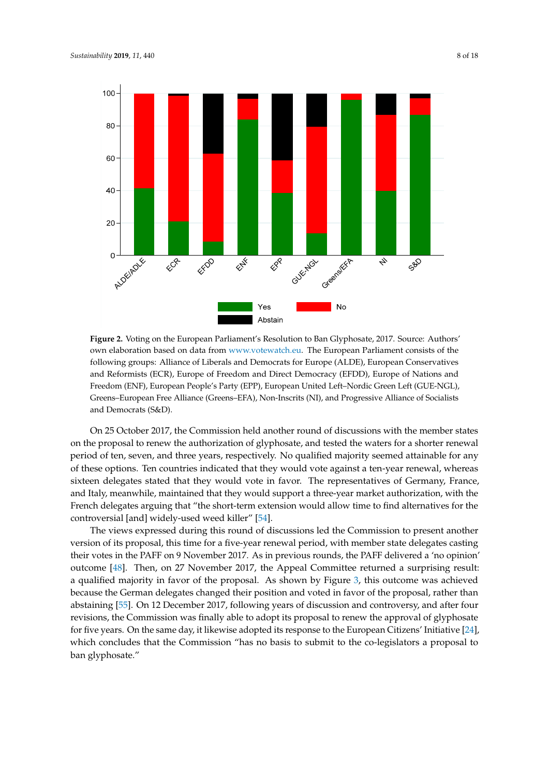<span id="page-7-0"></span>

own elaboration based on data from [www.votewatch.eu.](www.votewatch.eu) The European Parliament consists of the following groups: Alliance of Liberals and Democrats for Europe (ALDE), European Conservatives and Reformists (ECR), Europe of Freedom and Direct Democracy (EFDD), Europe of Nations and Freedom (ENF), European People's Party (EPP), European United Left–Nordic Green Left (GUE-NGL), Greens–European Free Alliance (Greens–EFA), Non-Inscrits (NI), and Progressive Alliance of Socialists and Democrats (S&D). **Figure 2.** Voting on the European Parliament's Resolution to Ban Glyphosate, 2017. Source: Authors'

On 25 October 2017, the Commission held another round of discussions with the member states on the proposal to renew the authorization of glyphosate, and tested the waters for a shorter renewal period of ten, seven, and three years, respectively. No qualified majority seemed attainable for any of these options. Ten countries indicated that they would vote against a ten-year renewal, whereas sixteen delegates stated that they would vote in favor. The representatives of Germany, France, and Italy, meanwhile, maintained that they would support a three-year market authorization, with the control of the control of the control of the control of the control of the control of the control of the control of the c French delegates arguing that "the short-term extension would allow time to find alternatives for the controversial [and] widely-used weed killer" [\[54\]](#page-16-5).<br>
controversial [and] widely-used weed killer" [54].

The views expressed during this round of discussions led the Commission to present another version of its proposal, this time for a five-year renewal period, with member state delegates casting<br> their votes in the PAFF on 9 November 2017. As in previous rounds, the PAFF delivered a 'no opinion' outcome [\[48\]](#page-15-23). Then, on 27 November 2017, the Appeal Committee returned a surprising result: a qualified majority in favor of the proposal. As shown by Figure [3,](#page-8-0) this outcome was achieved because the German delegates changed their position and voted in favor of the proposal, rather than abstaining [\[55\]](#page-16-6). On 12 December 2017, following years of discussion and controversy, and after four revisions, the Commission was finally able to adopt its proposal to renew the approval of glyphosate for five years. On the same day, it likewise adopted its response to the European Citizens' Initiative [\[24\]](#page-15-0), which concludes that the Commission "has no basis to submit to the co-legislators a proposal to ban glyphosate."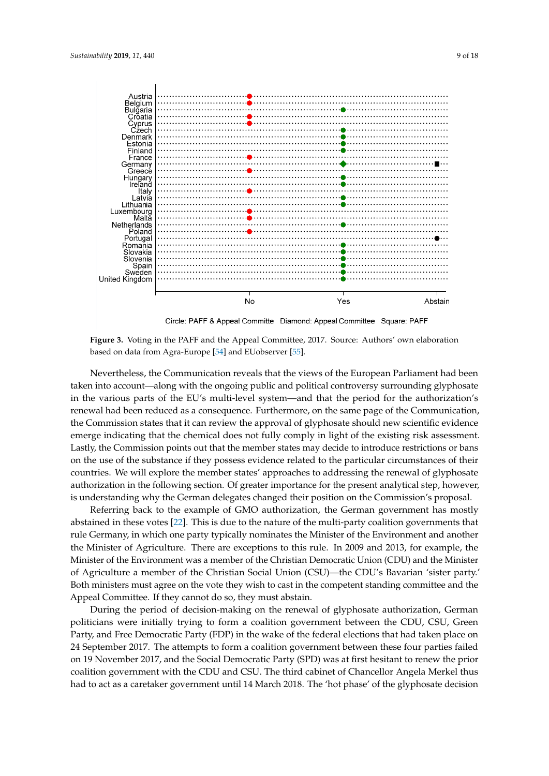<span id="page-8-0"></span>

Circle: PAFF & Appeal Committe Diamond: Appeal Committee Square: PAFF

based on data from Agra-Europe [\[54\]](#page-16-5) and EUobserver [\[55\]](#page-16-6). **Figure 3.** Voting in the PAFF and the Appeal Committee, 2017. Source: Authors' own elaboration

taken into account—along with the ongoing public and political controversy surrounding glyphosate in the various parts of the EU's multi-level system—and that the period for the authorization's renewal had been reduced as a consequence. Furthermore, on the same page of the Communication, the Commission states that it can review the approval of glyphosate should new scientific evidence emerge indicating that the chemical does not fully comply in light of the existing risk assessment. Lastly, the Commission points out that the member states may decide to introduce restrictions or bans on the use of the substance if they possess evidence related to the particular circumstances of their countries. We will explore the member states' approaches to addressing the renewal of glyphosate authorization in the following section. Of greater importance for the present analytical step, however, is understanding why the German delegates changed their position on the Commission's proposal. Nevertheless, the Communication reveals that the views of the European Parliament had been

Referring back to the example of GMO authorization, the German government has mostly abstained in these votes [\[22\]](#page-14-19). This is due to the nature of the multi-party coalition governments that rule Germany, in which one party typically nominates the Minister of the Environment and another the Minister of Agriculture. There are exceptions to this rule. In 2009 and 2013, for example, the Minister of the Environment was a member of the Christian Democratic Union (CDU) and the Minister of Agriculture a member of the Christian Social Union (CSU)—the CDU's Bavarian 'sister party.' Both ministers must agree on the vote they wish to cast in the competent standing committee and the Appeal Committee. If they cannot do so, they must abstain.

During the period of decision-making on the renewal of glyphosate authorization, German politicians were initially trying to form a coalition government between the CDU, CSU, Green Party, and Free Democratic Party (FDP) in the wake of the federal elections that had taken place on 24 September 2017. The attempts to form a coalition government between these four parties failed on 19 November 2017, and the Social Democratic Party (SPD) was at first hesitant to renew the prior coalition government with the CDU and CSU. The third cabinet of Chancellor Angela Merkel thus had to act as a caretaker government until 14 March 2018. The 'hot phase' of the glyphosate decision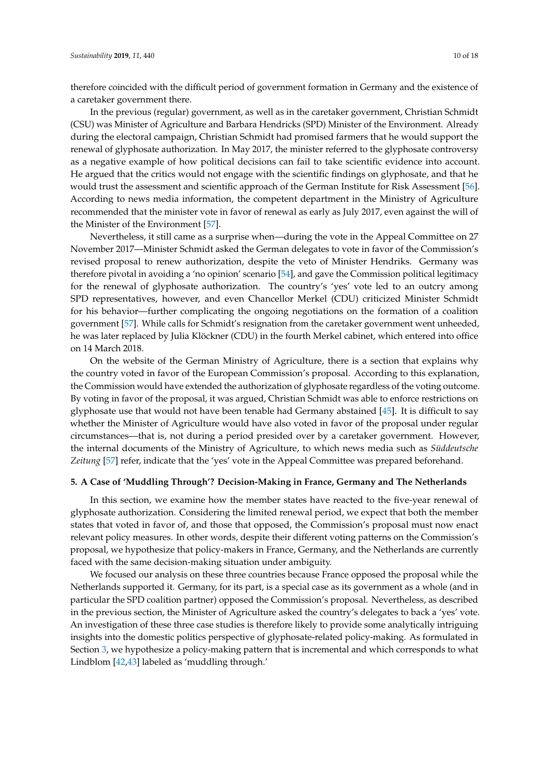therefore coincided with the difficult period of government formation in Germany and the existence of a caretaker government there.

In the previous (regular) government, as well as in the caretaker government, Christian Schmidt (CSU) was Minister of Agriculture and Barbara Hendricks (SPD) Minister of the Environment. Already during the electoral campaign, Christian Schmidt had promised farmers that he would support the renewal of glyphosate authorization. In May 2017, the minister referred to the glyphosate controversy as a negative example of how political decisions can fail to take scientific evidence into account. He argued that the critics would not engage with the scientific findings on glyphosate, and that he would trust the assessment and scientific approach of the German Institute for Risk Assessment [\[56\]](#page-16-7). According to news media information, the competent department in the Ministry of Agriculture recommended that the minister vote in favor of renewal as early as July 2017, even against the will of the Minister of the Environment [\[57\]](#page-16-8).

Nevertheless, it still came as a surprise when—during the vote in the Appeal Committee on 27 November 2017—Minister Schmidt asked the German delegates to vote in favor of the Commission's revised proposal to renew authorization, despite the veto of Minister Hendriks. Germany was therefore pivotal in avoiding a 'no opinion' scenario [\[54\]](#page-16-5), and gave the Commission political legitimacy for the renewal of glyphosate authorization. The country's 'yes' vote led to an outcry among SPD representatives, however, and even Chancellor Merkel (CDU) criticized Minister Schmidt for his behavior—further complicating the ongoing negotiations on the formation of a coalition government [\[57\]](#page-16-8). While calls for Schmidt's resignation from the caretaker government went unheeded, he was later replaced by Julia Klöckner (CDU) in the fourth Merkel cabinet, which entered into office on 14 March 2018.

On the website of the German Ministry of Agriculture, there is a section that explains why the country voted in favor of the European Commission's proposal. According to this explanation, the Commission would have extended the authorization of glyphosate regardless of the voting outcome. By voting in favor of the proposal, it was argued, Christian Schmidt was able to enforce restrictions on glyphosate use that would not have been tenable had Germany abstained [\[45\]](#page-15-20). It is difficult to say whether the Minister of Agriculture would have also voted in favor of the proposal under regular circumstances—that is, not during a period presided over by a caretaker government. However, the internal documents of the Ministry of Agriculture, to which news media such as *Süddeutsche Zeitung* [\[57\]](#page-16-8) refer, indicate that the 'yes' vote in the Appeal Committee was prepared beforehand.

#### **5. A Case of 'Muddling Through'? Decision-Making in France, Germany and The Netherlands**

In this section, we examine how the member states have reacted to the five-year renewal of glyphosate authorization. Considering the limited renewal period, we expect that both the member states that voted in favor of, and those that opposed, the Commission's proposal must now enact relevant policy measures. In other words, despite their different voting patterns on the Commission's proposal, we hypothesize that policy-makers in France, Germany, and the Netherlands are currently faced with the same decision-making situation under ambiguity.

We focused our analysis on these three countries because France opposed the proposal while the Netherlands supported it. Germany, for its part, is a special case as its government as a whole (and in particular the SPD coalition partner) opposed the Commission's proposal. Nevertheless, as described in the previous section, the Minister of Agriculture asked the country's delegates to back a 'yes' vote. An investigation of these three case studies is therefore likely to provide some analytically intriguing insights into the domestic politics perspective of glyphosate-related policy-making. As formulated in Section [3,](#page-3-0) we hypothesize a policy-making pattern that is incremental and which corresponds to what Lindblom [\[42](#page-15-17)[,43\]](#page-15-18) labeled as 'muddling through.'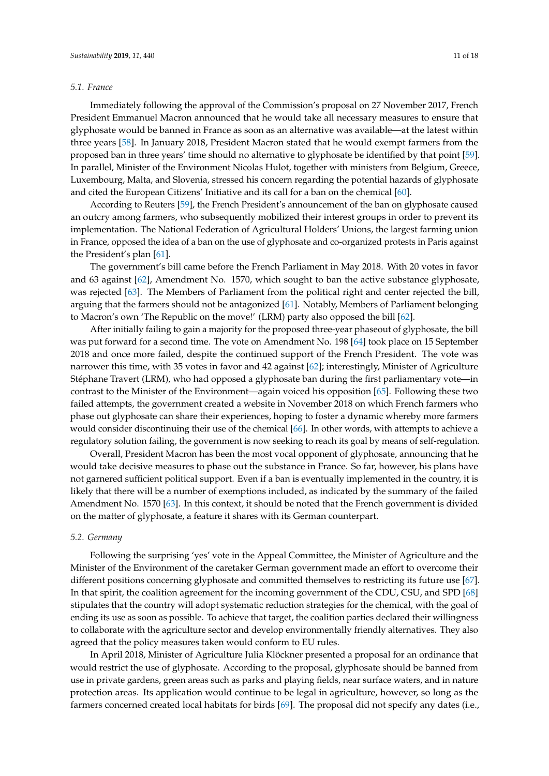#### *5.1. France*

Immediately following the approval of the Commission's proposal on 27 November 2017, French President Emmanuel Macron announced that he would take all necessary measures to ensure that glyphosate would be banned in France as soon as an alternative was available—at the latest within three years [\[58\]](#page-16-9). In January 2018, President Macron stated that he would exempt farmers from the proposed ban in three years' time should no alternative to glyphosate be identified by that point [\[59\]](#page-16-10). In parallel, Minister of the Environment Nicolas Hulot, together with ministers from Belgium, Greece, Luxembourg, Malta, and Slovenia, stressed his concern regarding the potential hazards of glyphosate and cited the European Citizens' Initiative and its call for a ban on the chemical [\[60\]](#page-16-11).

According to Reuters [\[59\]](#page-16-10), the French President's announcement of the ban on glyphosate caused an outcry among farmers, who subsequently mobilized their interest groups in order to prevent its implementation. The National Federation of Agricultural Holders' Unions, the largest farming union in France, opposed the idea of a ban on the use of glyphosate and co-organized protests in Paris against the President's plan [\[61\]](#page-16-12).

The government's bill came before the French Parliament in May 2018. With 20 votes in favor and 63 against [\[62\]](#page-16-13), Amendment No. 1570, which sought to ban the active substance glyphosate, was rejected [\[63\]](#page-16-14). The Members of Parliament from the political right and center rejected the bill, arguing that the farmers should not be antagonized [\[61\]](#page-16-12). Notably, Members of Parliament belonging to Macron's own 'The Republic on the move!' (LRM) party also opposed the bill [\[62\]](#page-16-13).

After initially failing to gain a majority for the proposed three-year phaseout of glyphosate, the bill was put forward for a second time. The vote on Amendment No. 198 [\[64\]](#page-16-15) took place on 15 September 2018 and once more failed, despite the continued support of the French President. The vote was narrower this time, with 35 votes in favor and 42 against [\[62\]](#page-16-13); interestingly, Minister of Agriculture Stéphane Travert (LRM), who had opposed a glyphosate ban during the first parliamentary vote—in contrast to the Minister of the Environment—again voiced his opposition [\[65\]](#page-16-16). Following these two failed attempts, the government created a website in November 2018 on which French farmers who phase out glyphosate can share their experiences, hoping to foster a dynamic whereby more farmers would consider discontinuing their use of the chemical [\[66\]](#page-16-17). In other words, with attempts to achieve a regulatory solution failing, the government is now seeking to reach its goal by means of self-regulation.

Overall, President Macron has been the most vocal opponent of glyphosate, announcing that he would take decisive measures to phase out the substance in France. So far, however, his plans have not garnered sufficient political support. Even if a ban is eventually implemented in the country, it is likely that there will be a number of exemptions included, as indicated by the summary of the failed Amendment No. 1570 [\[63\]](#page-16-14). In this context, it should be noted that the French government is divided on the matter of glyphosate, a feature it shares with its German counterpart.

# *5.2. Germany*

Following the surprising 'yes' vote in the Appeal Committee, the Minister of Agriculture and the Minister of the Environment of the caretaker German government made an effort to overcome their different positions concerning glyphosate and committed themselves to restricting its future use [\[67\]](#page-16-18). In that spirit, the coalition agreement for the incoming government of the CDU, CSU, and SPD [\[68\]](#page-16-19) stipulates that the country will adopt systematic reduction strategies for the chemical, with the goal of ending its use as soon as possible. To achieve that target, the coalition parties declared their willingness to collaborate with the agriculture sector and develop environmentally friendly alternatives. They also agreed that the policy measures taken would conform to EU rules.

In April 2018, Minister of Agriculture Julia Klöckner presented a proposal for an ordinance that would restrict the use of glyphosate. According to the proposal, glyphosate should be banned from use in private gardens, green areas such as parks and playing fields, near surface waters, and in nature protection areas. Its application would continue to be legal in agriculture, however, so long as the farmers concerned created local habitats for birds [\[69\]](#page-16-20). The proposal did not specify any dates (i.e.,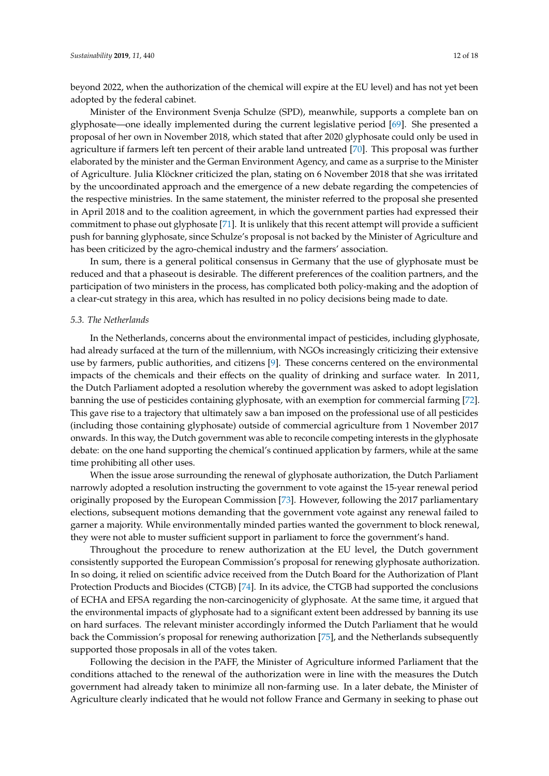beyond 2022, when the authorization of the chemical will expire at the EU level) and has not yet been adopted by the federal cabinet.

Minister of the Environment Svenja Schulze (SPD), meanwhile, supports a complete ban on glyphosate—one ideally implemented during the current legislative period [\[69\]](#page-16-20). She presented a proposal of her own in November 2018, which stated that after 2020 glyphosate could only be used in agriculture if farmers left ten percent of their arable land untreated [\[70\]](#page-17-0). This proposal was further elaborated by the minister and the German Environment Agency, and came as a surprise to the Minister of Agriculture. Julia Klöckner criticized the plan, stating on 6 November 2018 that she was irritated by the uncoordinated approach and the emergence of a new debate regarding the competencies of the respective ministries. In the same statement, the minister referred to the proposal she presented in April 2018 and to the coalition agreement, in which the government parties had expressed their commitment to phase out glyphosate [\[71\]](#page-17-1). It is unlikely that this recent attempt will provide a sufficient push for banning glyphosate, since Schulze's proposal is not backed by the Minister of Agriculture and has been criticized by the agro-chemical industry and the farmers' association.

In sum, there is a general political consensus in Germany that the use of glyphosate must be reduced and that a phaseout is desirable. The different preferences of the coalition partners, and the participation of two ministers in the process, has complicated both policy-making and the adoption of a clear-cut strategy in this area, which has resulted in no policy decisions being made to date.

#### *5.3. The Netherlands*

In the Netherlands, concerns about the environmental impact of pesticides, including glyphosate, had already surfaced at the turn of the millennium, with NGOs increasingly criticizing their extensive use by farmers, public authorities, and citizens [\[9\]](#page-14-6). These concerns centered on the environmental impacts of the chemicals and their effects on the quality of drinking and surface water. In 2011, the Dutch Parliament adopted a resolution whereby the government was asked to adopt legislation banning the use of pesticides containing glyphosate, with an exemption for commercial farming [\[72\]](#page-17-2). This gave rise to a trajectory that ultimately saw a ban imposed on the professional use of all pesticides (including those containing glyphosate) outside of commercial agriculture from 1 November 2017 onwards. In this way, the Dutch government was able to reconcile competing interests in the glyphosate debate: on the one hand supporting the chemical's continued application by farmers, while at the same time prohibiting all other uses.

When the issue arose surrounding the renewal of glyphosate authorization, the Dutch Parliament narrowly adopted a resolution instructing the government to vote against the 15-year renewal period originally proposed by the European Commission [\[73\]](#page-17-3). However, following the 2017 parliamentary elections, subsequent motions demanding that the government vote against any renewal failed to garner a majority. While environmentally minded parties wanted the government to block renewal, they were not able to muster sufficient support in parliament to force the government's hand.

Throughout the procedure to renew authorization at the EU level, the Dutch government consistently supported the European Commission's proposal for renewing glyphosate authorization. In so doing, it relied on scientific advice received from the Dutch Board for the Authorization of Plant Protection Products and Biocides (CTGB) [\[74\]](#page-17-4). In its advice, the CTGB had supported the conclusions of ECHA and EFSA regarding the non-carcinogenicity of glyphosate. At the same time, it argued that the environmental impacts of glyphosate had to a significant extent been addressed by banning its use on hard surfaces. The relevant minister accordingly informed the Dutch Parliament that he would back the Commission's proposal for renewing authorization [\[75\]](#page-17-5), and the Netherlands subsequently supported those proposals in all of the votes taken.

Following the decision in the PAFF, the Minister of Agriculture informed Parliament that the conditions attached to the renewal of the authorization were in line with the measures the Dutch government had already taken to minimize all non-farming use. In a later debate, the Minister of Agriculture clearly indicated that he would not follow France and Germany in seeking to phase out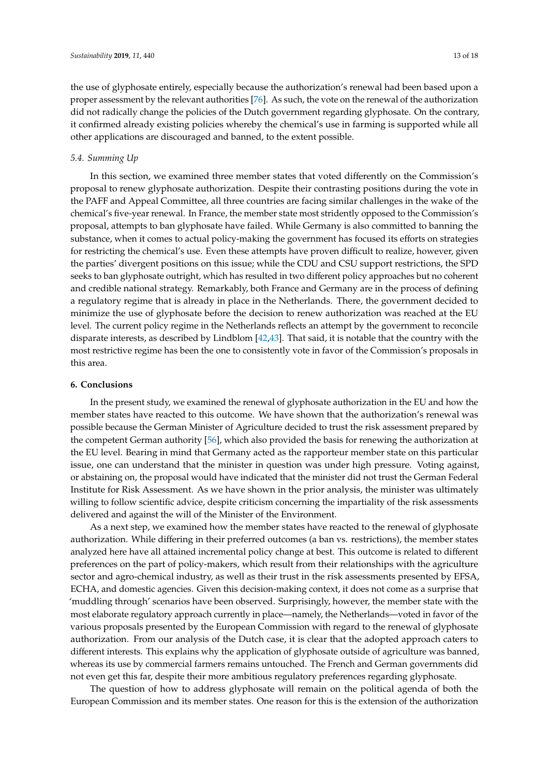the use of glyphosate entirely, especially because the authorization's renewal had been based upon a proper assessment by the relevant authorities [\[76\]](#page-17-6). As such, the vote on the renewal of the authorization did not radically change the policies of the Dutch government regarding glyphosate. On the contrary, it confirmed already existing policies whereby the chemical's use in farming is supported while all other applications are discouraged and banned, to the extent possible.

# *5.4. Summing Up*

In this section, we examined three member states that voted differently on the Commission's proposal to renew glyphosate authorization. Despite their contrasting positions during the vote in the PAFF and Appeal Committee, all three countries are facing similar challenges in the wake of the chemical's five-year renewal. In France, the member state most stridently opposed to the Commission's proposal, attempts to ban glyphosate have failed. While Germany is also committed to banning the substance, when it comes to actual policy-making the government has focused its efforts on strategies for restricting the chemical's use. Even these attempts have proven difficult to realize, however, given the parties' divergent positions on this issue; while the CDU and CSU support restrictions, the SPD seeks to ban glyphosate outright, which has resulted in two different policy approaches but no coherent and credible national strategy. Remarkably, both France and Germany are in the process of defining a regulatory regime that is already in place in the Netherlands. There, the government decided to minimize the use of glyphosate before the decision to renew authorization was reached at the EU level. The current policy regime in the Netherlands reflects an attempt by the government to reconcile disparate interests, as described by Lindblom [\[42,](#page-15-17)[43\]](#page-15-18). That said, it is notable that the country with the most restrictive regime has been the one to consistently vote in favor of the Commission's proposals in this area.

#### **6. Conclusions**

In the present study, we examined the renewal of glyphosate authorization in the EU and how the member states have reacted to this outcome. We have shown that the authorization's renewal was possible because the German Minister of Agriculture decided to trust the risk assessment prepared by the competent German authority [\[56\]](#page-16-7), which also provided the basis for renewing the authorization at the EU level. Bearing in mind that Germany acted as the rapporteur member state on this particular issue, one can understand that the minister in question was under high pressure. Voting against, or abstaining on, the proposal would have indicated that the minister did not trust the German Federal Institute for Risk Assessment. As we have shown in the prior analysis, the minister was ultimately willing to follow scientific advice, despite criticism concerning the impartiality of the risk assessments delivered and against the will of the Minister of the Environment.

As a next step, we examined how the member states have reacted to the renewal of glyphosate authorization. While differing in their preferred outcomes (a ban vs. restrictions), the member states analyzed here have all attained incremental policy change at best. This outcome is related to different preferences on the part of policy-makers, which result from their relationships with the agriculture sector and agro-chemical industry, as well as their trust in the risk assessments presented by EFSA, ECHA, and domestic agencies. Given this decision-making context, it does not come as a surprise that 'muddling through' scenarios have been observed. Surprisingly, however, the member state with the most elaborate regulatory approach currently in place—namely, the Netherlands—voted in favor of the various proposals presented by the European Commission with regard to the renewal of glyphosate authorization. From our analysis of the Dutch case, it is clear that the adopted approach caters to different interests. This explains why the application of glyphosate outside of agriculture was banned, whereas its use by commercial farmers remains untouched. The French and German governments did not even get this far, despite their more ambitious regulatory preferences regarding glyphosate.

The question of how to address glyphosate will remain on the political agenda of both the European Commission and its member states. One reason for this is the extension of the authorization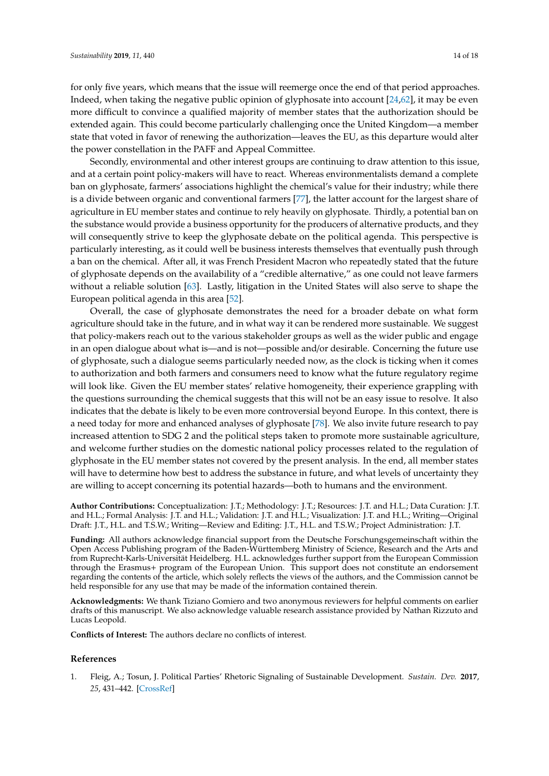for only five years, which means that the issue will reemerge once the end of that period approaches. Indeed, when taking the negative public opinion of glyphosate into account [\[24](#page-15-0)[,62\]](#page-16-13), it may be even more difficult to convince a qualified majority of member states that the authorization should be extended again. This could become particularly challenging once the United Kingdom—a member state that voted in favor of renewing the authorization—leaves the EU, as this departure would alter

Secondly, environmental and other interest groups are continuing to draw attention to this issue, and at a certain point policy-makers will have to react. Whereas environmentalists demand a complete ban on glyphosate, farmers' associations highlight the chemical's value for their industry; while there is a divide between organic and conventional farmers [\[77\]](#page-17-7), the latter account for the largest share of agriculture in EU member states and continue to rely heavily on glyphosate. Thirdly, a potential ban on the substance would provide a business opportunity for the producers of alternative products, and they will consequently strive to keep the glyphosate debate on the political agenda. This perspective is particularly interesting, as it could well be business interests themselves that eventually push through a ban on the chemical. After all, it was French President Macron who repeatedly stated that the future of glyphosate depends on the availability of a "credible alternative," as one could not leave farmers without a reliable solution [\[63\]](#page-16-14). Lastly, litigation in the United States will also serve to shape the European political agenda in this area [\[52\]](#page-16-3).

the power constellation in the PAFF and Appeal Committee.

Overall, the case of glyphosate demonstrates the need for a broader debate on what form agriculture should take in the future, and in what way it can be rendered more sustainable. We suggest that policy-makers reach out to the various stakeholder groups as well as the wider public and engage in an open dialogue about what is—and is not—possible and/or desirable. Concerning the future use of glyphosate, such a dialogue seems particularly needed now, as the clock is ticking when it comes to authorization and both farmers and consumers need to know what the future regulatory regime will look like. Given the EU member states' relative homogeneity, their experience grappling with the questions surrounding the chemical suggests that this will not be an easy issue to resolve. It also indicates that the debate is likely to be even more controversial beyond Europe. In this context, there is a need today for more and enhanced analyses of glyphosate [\[78\]](#page-17-8). We also invite future research to pay increased attention to SDG 2 and the political steps taken to promote more sustainable agriculture, and welcome further studies on the domestic national policy processes related to the regulation of glyphosate in the EU member states not covered by the present analysis. In the end, all member states will have to determine how best to address the substance in future, and what levels of uncertainty they are willing to accept concerning its potential hazards—both to humans and the environment.

**Author Contributions:** Conceptualization: J.T.; Methodology: J.T.; Resources: J.T. and H.L.; Data Curation: J.T. and H.L.; Formal Analysis: J.T. and H.L.; Validation: J.T. and H.L.; Visualization: J.T. and H.L.; Writing—Original Draft: J.T., H.L. and T.S.W.; Writing—Review and Editing: J.T., H.L. and T.S.W.; Project Administration: J.T.

**Funding:** All authors acknowledge financial support from the Deutsche Forschungsgemeinschaft within the Open Access Publishing program of the Baden-Württemberg Ministry of Science, Research and the Arts and from Ruprecht-Karls-Universität Heidelberg. H.L. acknowledges further support from the European Commission through the Erasmus+ program of the European Union. This support does not constitute an endorsement regarding the contents of the article, which solely reflects the views of the authors, and the Commission cannot be held responsible for any use that may be made of the information contained therein.

**Acknowledgments:** We thank Tiziano Gomiero and two anonymous reviewers for helpful comments on earlier drafts of this manuscript. We also acknowledge valuable research assistance provided by Nathan Rizzuto and Lucas Leopold.

**Conflicts of Interest:** The authors declare no conflicts of interest.

#### **References**

<span id="page-13-0"></span>1. Fleig, A.; Tosun, J. Political Parties' Rhetoric Signaling of Sustainable Development. *Sustain. Dev.* **2017**, *25*, 431–442. [\[CrossRef\]](http://dx.doi.org/10.1002/sd.1672)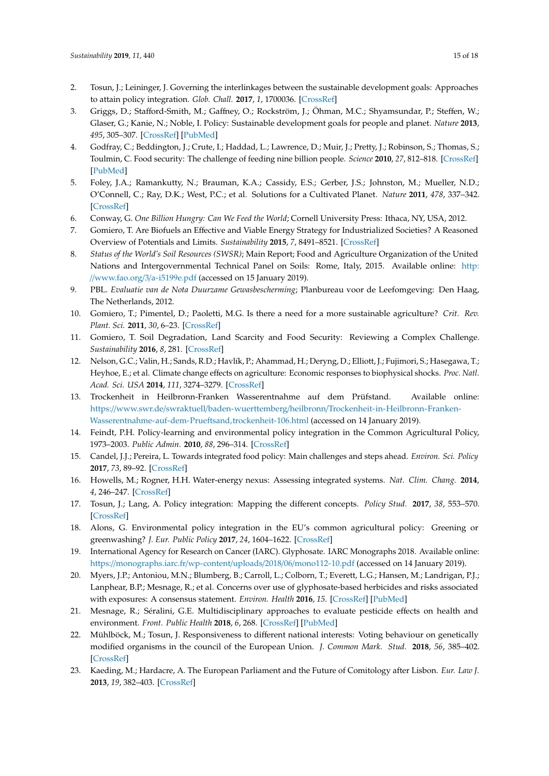- <span id="page-14-0"></span>2. Tosun, J.; Leininger, J. Governing the interlinkages between the sustainable development goals: Approaches to attain policy integration. *Glob. Chall.* **2017**, *1*, 1700036. [\[CrossRef\]](http://dx.doi.org/10.1002/gch2.201700036)
- <span id="page-14-1"></span>3. Griggs, D.; Stafford-Smith, M.; Gaffney, O.; Rockström, J.; Öhman, M.C.; Shyamsundar, P.; Steffen, W.; Glaser, G.; Kanie, N.; Noble, I. Policy: Sustainable development goals for people and planet. *Nature* **2013**, *495*, 305–307. [\[CrossRef\]](http://dx.doi.org/10.1038/495305a) [\[PubMed\]](http://www.ncbi.nlm.nih.gov/pubmed/23518546)
- <span id="page-14-2"></span>4. Godfray, C.; Beddington, J.; Crute, I.; Haddad, L.; Lawrence, D.; Muir, J.; Pretty, J.; Robinson, S.; Thomas, S.; Toulmin, C. Food security: The challenge of feeding nine billion people. *Science* **2010**, *27*, 812–818. [\[CrossRef\]](http://dx.doi.org/10.1126/science.1185383) [\[PubMed\]](http://www.ncbi.nlm.nih.gov/pubmed/20110467)
- 5. Foley, J.A.; Ramankutty, N.; Brauman, K.A.; Cassidy, E.S.; Gerber, J.S.; Johnston, M.; Mueller, N.D.; O'Connell, C.; Ray, D.K.; West, P.C.; et al. Solutions for a Cultivated Planet. *Nature* **2011**, *478*, 337–342. [\[CrossRef\]](http://dx.doi.org/10.1038/nature10452)
- <span id="page-14-3"></span>6. Conway, G. *One Billion Hungry: Can We Feed the World*; Cornell University Press: Ithaca, NY, USA, 2012.
- <span id="page-14-4"></span>7. Gomiero, T. Are Biofuels an Effective and Viable Energy Strategy for Industrialized Societies? A Reasoned Overview of Potentials and Limits. *Sustainability* **2015**, *7*, 8491–8521. [\[CrossRef\]](http://dx.doi.org/10.3390/su7078491)
- <span id="page-14-5"></span>8. *Status of the World's Soil Resources (SWSR)*; Main Report; Food and Agriculture Organization of the United Nations and Intergovernmental Technical Panel on Soils: Rome, Italy, 2015. Available online: [http:](http://www.fao.org/3/a-i5199e.pdf) //[www.fao.org](http://www.fao.org/3/a-i5199e.pdf)/3/a-i5199e.pdf (accessed on 15 January 2019).
- <span id="page-14-6"></span>9. PBL. *Evaluatie van de Nota Duurzame Gewasbescherming*; Planbureau voor de Leefomgeving: Den Haag, The Netherlands, 2012.
- <span id="page-14-7"></span>10. Gomiero, T.; Pimentel, D.; Paoletti, M.G. Is there a need for a more sustainable agriculture? *Crit. Rev. Plant. Sci.* **2011**, *30*, 6–23. [\[CrossRef\]](http://dx.doi.org/10.1080/07352689.2011.553515)
- <span id="page-14-8"></span>11. Gomiero, T. Soil Degradation, Land Scarcity and Food Security: Reviewing a Complex Challenge. *Sustainability* **2016**, *8*, 281. [\[CrossRef\]](http://dx.doi.org/10.3390/su8030281)
- <span id="page-14-9"></span>12. Nelson, G.C.; Valin, H.; Sands, R.D.; Havlík, P.; Ahammad, H.; Deryng, D.; Elliott, J.; Fujimori, S.; Hasegawa, T.; Heyhoe, E.; et al. Climate change effects on agriculture: Economic responses to biophysical shocks. *Proc. Natl. Acad. Sci. USA* **2014**, *111*, 3274–3279. [\[CrossRef\]](http://dx.doi.org/10.1073/pnas.1222465110)
- <span id="page-14-10"></span>13. Trockenheit in Heilbronn-Franken Wasserentnahme auf dem Prüfstand. Available online: https://www.swr.de/swraktuell/baden-wuerttemberg/heilbronn/[Trockenheit-in-Heilbronn-Franken-](https://www.swr.de/swraktuell/baden-wuerttemberg/heilbronn/Trockenheit-in-Heilbronn-Franken-Wasserentnahme-auf-dem-Prueftsand,trockenheit-106.html)[Wasserentnahme-auf-dem-Prueftsand,trockenheit-106.html](https://www.swr.de/swraktuell/baden-wuerttemberg/heilbronn/Trockenheit-in-Heilbronn-Franken-Wasserentnahme-auf-dem-Prueftsand,trockenheit-106.html) (accessed on 14 January 2019).
- <span id="page-14-11"></span>14. Feindt, P.H. Policy-learning and environmental policy integration in the Common Agricultural Policy, 1973–2003. *Public Admin.* **2010**, *88*, 296–314. [\[CrossRef\]](http://dx.doi.org/10.1111/j.1467-9299.2010.01833.x)
- <span id="page-14-12"></span>15. Candel, J.J.; Pereira, L. Towards integrated food policy: Main challenges and steps ahead. *Environ. Sci. Policy* **2017**, *73*, 89–92. [\[CrossRef\]](http://dx.doi.org/10.1016/j.envsci.2017.04.010)
- <span id="page-14-13"></span>16. Howells, M.; Rogner, H.H. Water-energy nexus: Assessing integrated systems. *Nat. Clim. Chang.* **2014**, *4*, 246–247. [\[CrossRef\]](http://dx.doi.org/10.1038/nclimate2180)
- <span id="page-14-14"></span>17. Tosun, J.; Lang, A. Policy integration: Mapping the different concepts. *Policy Stud.* **2017**, *38*, 553–570. [\[CrossRef\]](http://dx.doi.org/10.1080/01442872.2017.1339239)
- <span id="page-14-15"></span>18. Alons, G. Environmental policy integration in the EU's common agricultural policy: Greening or greenwashing? *J. Eur. Public Policy* **2017**, *24*, 1604–1622. [\[CrossRef\]](http://dx.doi.org/10.1080/13501763.2017.1334085)
- <span id="page-14-16"></span>19. International Agency for Research on Cancer (IARC). Glyphosate. IARC Monographs 2018. Available online: https://[monographs.iarc.fr](https://monographs.iarc.fr/wp-content/uploads/2018/06/mono112-10.pdf)/wp-content/uploads/2018/06/mono112-10.pdf (accessed on 14 January 2019).
- <span id="page-14-17"></span>20. Myers, J.P.; Antoniou, M.N.; Blumberg, B.; Carroll, L.; Colborn, T.; Everett, L.G.; Hansen, M.; Landrigan, P.J.; Lanphear, B.P.; Mesnage, R.; et al. Concerns over use of glyphosate-based herbicides and risks associated with exposures: A consensus statement. *Environ. Health* **2016**, *15*. [\[CrossRef\]](http://dx.doi.org/10.1186/s12940-016-0117-0) [\[PubMed\]](http://www.ncbi.nlm.nih.gov/pubmed/26883814)
- <span id="page-14-18"></span>21. Mesnage, R.; Séralini, G.E. Multidisciplinary approaches to evaluate pesticide effects on health and environment. *Front. Public Health* **2018**, *6*, 268. [\[CrossRef\]](http://dx.doi.org/10.3389/fpubh.2018.00268) [\[PubMed\]](http://www.ncbi.nlm.nih.gov/pubmed/30283769)
- <span id="page-14-19"></span>22. Mühlböck, M.; Tosun, J. Responsiveness to different national interests: Voting behaviour on genetically modified organisms in the council of the European Union. *J. Common Mark. Stud.* **2018**, *56*, 385–402. [\[CrossRef\]](http://dx.doi.org/10.1111/jcms.12609)
- <span id="page-14-20"></span>23. Kaeding, M.; Hardacre, A. The European Parliament and the Future of Comitology after Lisbon. *Eur. Law J.* **2013**, *19*, 382–403. [\[CrossRef\]](http://dx.doi.org/10.1111/eulj.12029)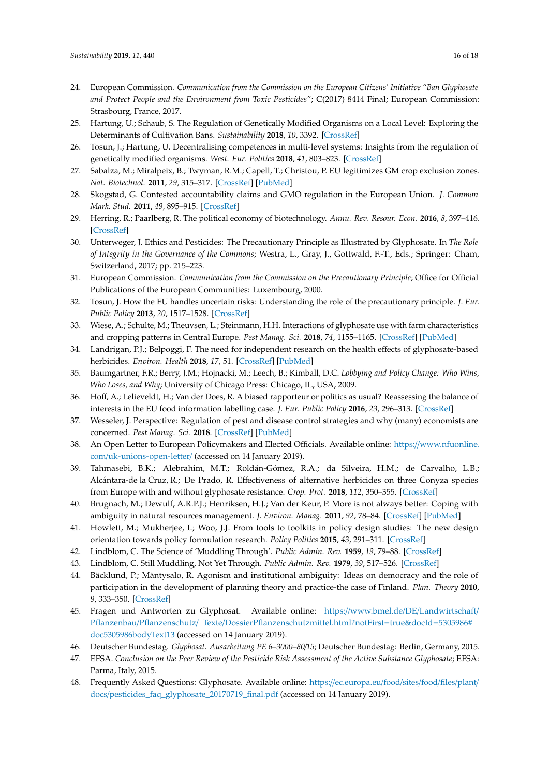- <span id="page-15-0"></span>24. European Commission. *Communication from the Commission on the European Citizens' Initiative "Ban Glyphosate and Protect People and the Environment from Toxic Pesticides"*; C(2017) 8414 Final; European Commission: Strasbourg, France, 2017.
- 25. Hartung, U.; Schaub, S. The Regulation of Genetically Modified Organisms on a Local Level: Exploring the Determinants of Cultivation Bans. *Sustainability* **2018**, *10*, 3392. [\[CrossRef\]](http://dx.doi.org/10.3390/su10103392)
- <span id="page-15-1"></span>26. Tosun, J.; Hartung, U. Decentralising competences in multi-level systems: Insights from the regulation of genetically modified organisms. *West. Eur. Politics* **2018**, *41*, 803–823. [\[CrossRef\]](http://dx.doi.org/10.1080/01402382.2017.1395253)
- <span id="page-15-2"></span>27. Sabalza, M.; Miralpeix, B.; Twyman, R.M.; Capell, T.; Christou, P. EU legitimizes GM crop exclusion zones. *Nat. Biotechnol.* **2011**, *29*, 315–317. [\[CrossRef\]](http://dx.doi.org/10.1038/nbt.1840) [\[PubMed\]](http://www.ncbi.nlm.nih.gov/pubmed/21478843)
- <span id="page-15-3"></span>28. Skogstad, G. Contested accountability claims and GMO regulation in the European Union. *J. Common Mark. Stud.* **2011**, *49*, 895–915. [\[CrossRef\]](http://dx.doi.org/10.1111/j.1468-5965.2010.02166.x)
- <span id="page-15-4"></span>29. Herring, R.; Paarlberg, R. The political economy of biotechnology. *Annu. Rev. Resour. Econ.* **2016**, *8*, 397–416. [\[CrossRef\]](http://dx.doi.org/10.1146/annurev-resource-100815-095506)
- <span id="page-15-5"></span>30. Unterweger, J. Ethics and Pesticides: The Precautionary Principle as Illustrated by Glyphosate. In *The Role of Integrity in the Governance of the Commons*; Westra, L., Gray, J., Gottwald, F.-T., Eds.; Springer: Cham, Switzerland, 2017; pp. 215–223.
- <span id="page-15-6"></span>31. European Commission. *Communication from the Commission on the Precautionary Principle*; Office for Official Publications of the European Communities: Luxembourg, 2000.
- <span id="page-15-7"></span>32. Tosun, J. How the EU handles uncertain risks: Understanding the role of the precautionary principle. *J. Eur. Public Policy* **2013**, *20*, 1517–1528. [\[CrossRef\]](http://dx.doi.org/10.1080/13501763.2013.834549)
- <span id="page-15-8"></span>33. Wiese, A.; Schulte, M.; Theuvsen, L.; Steinmann, H.H. Interactions of glyphosate use with farm characteristics and cropping patterns in Central Europe. *Pest Manag. Sci.* **2018**, *74*, 1155–1165. [\[CrossRef\]](http://dx.doi.org/10.1002/ps.4542) [\[PubMed\]](http://www.ncbi.nlm.nih.gov/pubmed/28150381)
- <span id="page-15-9"></span>34. Landrigan, P.J.; Belpoggi, F. The need for independent research on the health effects of glyphosate-based herbicides. *Environ. Health* **2018**, *17*, 51. [\[CrossRef\]](http://dx.doi.org/10.1186/s12940-018-0392-z) [\[PubMed\]](http://www.ncbi.nlm.nih.gov/pubmed/29843729)
- <span id="page-15-10"></span>35. Baumgartner, F.R.; Berry, J.M.; Hojnacki, M.; Leech, B.; Kimball, D.C. *Lobbying and Policy Change: Who Wins, Who Loses, and Why*; University of Chicago Press: Chicago, IL, USA, 2009.
- <span id="page-15-11"></span>36. Hoff, A.; Lelieveldt, H.; Van der Does, R. A biased rapporteur or politics as usual? Reassessing the balance of interests in the EU food information labelling case. *J. Eur. Public Policy* **2016**, *23*, 296–313. [\[CrossRef\]](http://dx.doi.org/10.1080/13501763.2015.1051095)
- <span id="page-15-12"></span>37. Wesseler, J. Perspective: Regulation of pest and disease control strategies and why (many) economists are concerned. *Pest Manag. Sci.* **2018**. [\[CrossRef\]](http://dx.doi.org/10.1002/ps.5204) [\[PubMed\]](http://www.ncbi.nlm.nih.gov/pubmed/30216628)
- <span id="page-15-13"></span>38. An Open Letter to European Policymakers and Elected Officials. Available online: https://[www.nfuonline.](https://www.nfuonline.com/uk-unions-open-letter/) com/[uk-unions-open-letter](https://www.nfuonline.com/uk-unions-open-letter/)/ (accessed on 14 January 2019).
- <span id="page-15-14"></span>39. Tahmasebi, B.K.; Alebrahim, M.T.; Roldán-Gómez, R.A.; da Silveira, H.M.; de Carvalho, L.B.; Alcántara-de la Cruz, R.; De Prado, R. Effectiveness of alternative herbicides on three Conyza species from Europe with and without glyphosate resistance. *Crop. Prot.* **2018**, *112*, 350–355. [\[CrossRef\]](http://dx.doi.org/10.1016/j.cropro.2018.06.021)
- <span id="page-15-15"></span>40. Brugnach, M.; Dewulf, A.R.P.J.; Henriksen, H.J.; Van der Keur, P. More is not always better: Coping with ambiguity in natural resources management. *J. Environ. Manag.* **2011**, *92*, 78–84. [\[CrossRef\]](http://dx.doi.org/10.1016/j.jenvman.2010.08.029) [\[PubMed\]](http://www.ncbi.nlm.nih.gov/pubmed/20884113)
- <span id="page-15-16"></span>41. Howlett, M.; Mukherjee, I.; Woo, J.J. From tools to toolkits in policy design studies: The new design orientation towards policy formulation research. *Policy Politics* **2015**, *43*, 291–311. [\[CrossRef\]](http://dx.doi.org/10.1332/147084414X13992869118596)
- <span id="page-15-17"></span>42. Lindblom, C. The Science of 'Muddling Through'. *Public Admin. Rev.* **1959**, *19*, 79–88. [\[CrossRef\]](http://dx.doi.org/10.2307/973677)
- <span id="page-15-19"></span><span id="page-15-18"></span>43. Lindblom, C. Still Muddling, Not Yet Through. *Public Admin. Rev.* **1979**, *39*, 517–526. [\[CrossRef\]](http://dx.doi.org/10.2307/976178)
- 44. Bäcklund, P.; Mäntysalo, R. Agonism and institutional ambiguity: Ideas on democracy and the role of participation in the development of planning theory and practice-the case of Finland. *Plan. Theory* **2010**, *9*, 333–350. [\[CrossRef\]](http://dx.doi.org/10.1177/1473095210373684)
- <span id="page-15-20"></span>45. Fragen und Antworten zu Glyphosat. Available online: https://www.bmel.de/DE/[Landwirtschaft](https://www.bmel.de/DE/Landwirtschaft/Pflanzenbau/Pflanzenschutz/_Texte/DossierPflanzenschutzmittel.html?notFirst=true&docId=5305986#doc5305986bodyText13)/ Pflanzenbau/Pflanzenschutz/\_Texte/[DossierPflanzenschutzmittel.html?notFirst](https://www.bmel.de/DE/Landwirtschaft/Pflanzenbau/Pflanzenschutz/_Texte/DossierPflanzenschutzmittel.html?notFirst=true&docId=5305986#doc5305986bodyText13)=true&docId=5305986# [doc5305986bodyText13](https://www.bmel.de/DE/Landwirtschaft/Pflanzenbau/Pflanzenschutz/_Texte/DossierPflanzenschutzmittel.html?notFirst=true&docId=5305986#doc5305986bodyText13) (accessed on 14 January 2019).
- <span id="page-15-21"></span>46. Deutscher Bundestag. *Glyphosat. Ausarbeitung PE 6–3000–80*/*15*; Deutscher Bundestag: Berlin, Germany, 2015.
- <span id="page-15-22"></span>47. EFSA. *Conclusion on the Peer Review of the Pesticide Risk Assessment of the Active Substance Glyphosate*; EFSA: Parma, Italy, 2015.
- <span id="page-15-23"></span>48. Frequently Asked Questions: Glyphosate. Available online: https://[ec.europa.eu](https://ec.europa.eu/food/sites/food/files/plant/docs/pesticides_faq_glyphosate_20170719_final.pdf)/food/sites/food/files/plant/ docs/[pesticides\\_faq\\_glyphosate\\_20170719\\_final.pdf](https://ec.europa.eu/food/sites/food/files/plant/docs/pesticides_faq_glyphosate_20170719_final.pdf) (accessed on 14 January 2019).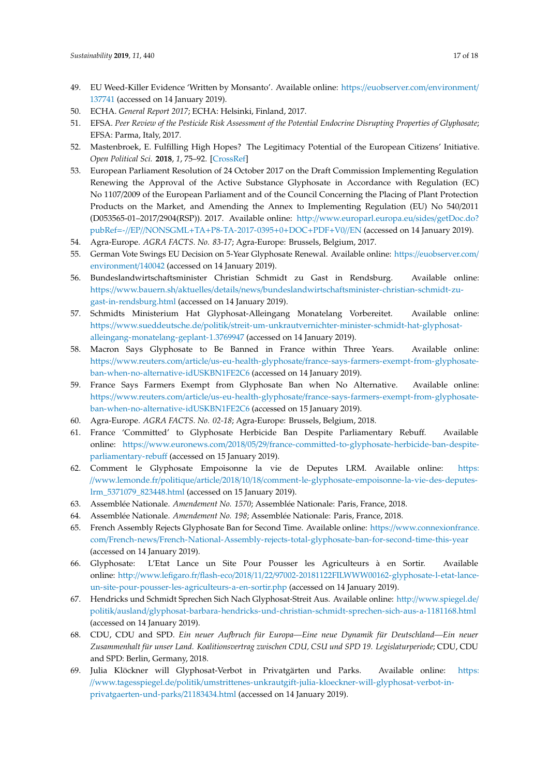- <span id="page-16-0"></span>49. EU Weed-Killer Evidence 'Written by Monsanto'. Available online: https://[euobserver.com](https://euobserver.com/environment/137741)/environment/ [137741](https://euobserver.com/environment/137741) (accessed on 14 January 2019).
- <span id="page-16-1"></span>50. ECHA. *General Report 2017*; ECHA: Helsinki, Finland, 2017.
- <span id="page-16-2"></span>51. EFSA. *Peer Review of the Pesticide Risk Assessment of the Potential Endocrine Disrupting Properties of Glyphosate*; EFSA: Parma, Italy, 2017.
- <span id="page-16-3"></span>52. Mastenbroek, E. Fulfilling High Hopes? The Legitimacy Potential of the European Citizens' Initiative. *Open Political Sci.* **2018**, *1*, 75–92. [\[CrossRef\]](http://dx.doi.org/10.1515/openps-2018-0004)
- <span id="page-16-4"></span>53. European Parliament Resolution of 24 October 2017 on the Draft Commission Implementing Regulation Renewing the Approval of the Active Substance Glyphosate in Accordance with Regulation (EC) No 1107/2009 of the European Parliament and of the Council Concerning the Placing of Plant Protection Products on the Market, and Amending the Annex to Implementing Regulation (EU) No 540/2011 (D053565-01–2017/2904(RSP)). 2017. Available online: http://[www.europarl.europa.eu](http://www.europarl.europa.eu/sides/getDoc.do?pubRef=-//EP//NONSGML+TA+P8-TA-2017-0395+0+DOC+PDF+V0//EN)/sides/getDoc.do? pubRef=-//EP//NONSGML+TA+[P8-TA-2017-0395](http://www.europarl.europa.eu/sides/getDoc.do?pubRef=-//EP//NONSGML+TA+P8-TA-2017-0395+0+DOC+PDF+V0//EN)+0+DOC+PDF+V0//EN (accessed on 14 January 2019).
- <span id="page-16-5"></span>54. Agra-Europe. *AGRA FACTS. No. 83-17*; Agra-Europe: Brussels, Belgium, 2017.
- <span id="page-16-6"></span>55. German Vote Swings EU Decision on 5-Year Glyphosate Renewal. Available online: https://[euobserver.com](https://euobserver.com/environment/140042)/ [environment](https://euobserver.com/environment/140042)/140042 (accessed on 14 January 2019).
- <span id="page-16-7"></span>56. Bundeslandwirtschaftsminister Christian Schmidt zu Gast in Rendsburg. Available online: https://www.bauern.sh/aktuelles/details/news/[bundeslandwirtschaftsminister-christian-schmidt-zu](https://www.bauern.sh/aktuelles/details/news/bundeslandwirtschaftsminister-christian-schmidt-zu-gast-in-rendsburg.html)[gast-in-rendsburg.html](https://www.bauern.sh/aktuelles/details/news/bundeslandwirtschaftsminister-christian-schmidt-zu-gast-in-rendsburg.html) (accessed on 14 January 2019).
- <span id="page-16-8"></span>57. Schmidts Ministerium Hat Glyphosat-Alleingang Monatelang Vorbereitet. Available online: https://www.sueddeutsche.de/politik/[streit-um-unkrautvernichter-minister-schmidt-hat-glyphosat](https://www.sueddeutsche.de/politik/streit-um-unkrautvernichter-minister-schmidt-hat-glyphosat-alleingang-monatelang-geplant-1.3769947)[alleingang-monatelang-geplant-1.3769947](https://www.sueddeutsche.de/politik/streit-um-unkrautvernichter-minister-schmidt-hat-glyphosat-alleingang-monatelang-geplant-1.3769947) (accessed on 14 January 2019).
- <span id="page-16-9"></span>58. Macron Says Glyphosate to Be Banned in France within Three Years. Available online: https://www.reuters.com/article/us-eu-health-glyphosate/[france-says-farmers-exempt-from-glyphosate](https://www.reuters.com/article/us-eu-health-glyphosate/france-says-farmers-exempt-from-glyphosate-ban-when-no-alternative-idUSKBN1FE2C6)[ban-when-no-alternative-idUSKBN1FE2C6](https://www.reuters.com/article/us-eu-health-glyphosate/france-says-farmers-exempt-from-glyphosate-ban-when-no-alternative-idUSKBN1FE2C6) (accessed on 14 January 2019).
- <span id="page-16-10"></span>59. France Says Farmers Exempt from Glyphosate Ban when No Alternative. Available online: https://www.reuters.com/article/us-eu-health-glyphosate/[france-says-farmers-exempt-from-glyphosate](https://www.reuters.com/article/us-eu-health-glyphosate/france-says-farmers-exempt-from-glyphosate-ban-when-no-alternative-idUSKBN1FE2C6)[ban-when-no-alternative-idUSKBN1FE2C6](https://www.reuters.com/article/us-eu-health-glyphosate/france-says-farmers-exempt-from-glyphosate-ban-when-no-alternative-idUSKBN1FE2C6) (accessed on 15 January 2019).
- <span id="page-16-11"></span>60. Agra-Europe. *AGRA FACTS. No. 02-18*; Agra-Europe: Brussels, Belgium, 2018.
- <span id="page-16-12"></span>61. France 'Committed' to Glyphosate Herbicide Ban Despite Parliamentary Rebuff. Available online: https://www.euronews.com/2018/05/29/[france-committed-to-glyphosate-herbicide-ban-despite](https://www.euronews.com/2018/05/29/france-committed-to-glyphosate-herbicide-ban-despite-parliamentary-rebuff)[parliamentary-rebu](https://www.euronews.com/2018/05/29/france-committed-to-glyphosate-herbicide-ban-despite-parliamentary-rebuff)ff (accessed on 15 January 2019).
- <span id="page-16-13"></span>62. Comment le Glyphosate Empoisonne la vie de Deputes LRM. Available online: [https:](https://www.lemonde.fr/politique/article/2018/10/18/comment-le-glyphosate-empoisonne-la-vie-des-deputes-lrm_5371079_823448.html) //www.lemonde.fr/politique/article/2018/10/18/[comment-le-glyphosate-empoisonne-la-vie-des-deputes](https://www.lemonde.fr/politique/article/2018/10/18/comment-le-glyphosate-empoisonne-la-vie-des-deputes-lrm_5371079_823448.html)[lrm\\_5371079\\_823448.html](https://www.lemonde.fr/politique/article/2018/10/18/comment-le-glyphosate-empoisonne-la-vie-des-deputes-lrm_5371079_823448.html) (accessed on 15 January 2019).
- <span id="page-16-14"></span>63. Assemblée Nationale. *Amendement No. 1570*; Assemblée Nationale: Paris, France, 2018.
- <span id="page-16-15"></span>64. Assemblée Nationale. *Amendement No. 198*; Assemblée Nationale: Paris, France, 2018.
- <span id="page-16-16"></span>65. French Assembly Rejects Glyphosate Ban for Second Time. Available online: https://[www.connexionfrance.](https://www.connexionfrance.com/French-news/French-National-Assembly-rejects-total-glyphosate-ban-for-second-time-this-year) com/French-news/[French-National-Assembly-rejects-total-glyphosate-ban-for-second-time-this-year](https://www.connexionfrance.com/French-news/French-National-Assembly-rejects-total-glyphosate-ban-for-second-time-this-year) (accessed on 14 January 2019).
- <span id="page-16-17"></span>66. Glyphosate: L'Etat Lance un Site Pour Pousser les Agriculteurs à en Sortir. Available online: http://www.lefigaro.fr/flash-eco/2018/11/22/[97002-20181122FILWWW00162-glyphosate-l-etat-lance](http://www.lefigaro.fr/flash-eco/2018/11/22/97002-20181122FILWWW00162-glyphosate-l-etat-lance-un-site-pour-pousser-les-agriculteurs-a-en-sortir.php)[un-site-pour-pousser-les-agriculteurs-a-en-sortir.php](http://www.lefigaro.fr/flash-eco/2018/11/22/97002-20181122FILWWW00162-glyphosate-l-etat-lance-un-site-pour-pousser-les-agriculteurs-a-en-sortir.php) (accessed on 14 January 2019).
- <span id="page-16-18"></span>67. Hendricks und Schmidt Sprechen Sich Nach Glyphosat-Streit Aus. Available online: http://[www.spiegel.de](http://www.spiegel.de/politik/ausland/glyphosat-barbara-hendricks-und-christian-schmidt-sprechen-sich-aus-a-1181168.html)/ politik/ausland/[glyphosat-barbara-hendricks-und-christian-schmidt-sprechen-sich-aus-a-1181168.html](http://www.spiegel.de/politik/ausland/glyphosat-barbara-hendricks-und-christian-schmidt-sprechen-sich-aus-a-1181168.html) (accessed on 14 January 2019).
- <span id="page-16-19"></span>68. CDU, CDU and SPD. *Ein neuer Aufbruch für Europa—Eine neue Dynamik für Deutschland—Ein neuer Zusammenhalt für unser Land. Koalitionsvertrag zwischen CDU, CSU und SPD 19. Legislaturperiode*; CDU, CDU and SPD: Berlin, Germany, 2018.
- <span id="page-16-20"></span>69. Julia Klöckner will Glyphosat-Verbot in Privatgärten und Parks. Available online: [https:](https://www.tagesspiegel.de/politik/umstrittenes-unkrautgift-julia-kloeckner-will-glyphosat-verbot-in-privatgaerten-und-parks/21183434.html) //www.tagesspiegel.de/politik/[umstrittenes-unkrautgift-julia-kloeckner-will-glyphosat-verbot-in](https://www.tagesspiegel.de/politik/umstrittenes-unkrautgift-julia-kloeckner-will-glyphosat-verbot-in-privatgaerten-und-parks/21183434.html)[privatgaerten-und-parks](https://www.tagesspiegel.de/politik/umstrittenes-unkrautgift-julia-kloeckner-will-glyphosat-verbot-in-privatgaerten-und-parks/21183434.html)/21183434.html (accessed on 14 January 2019).